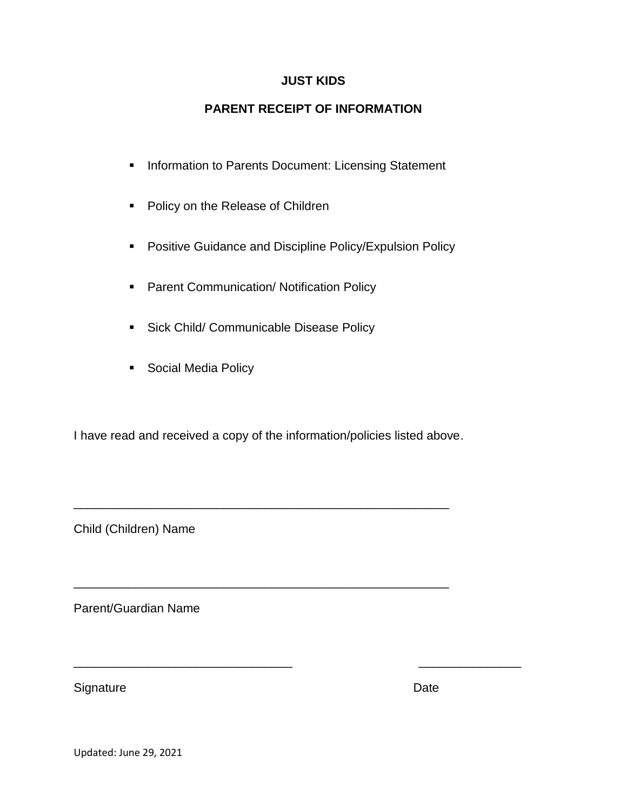## **JUST KIDS**

# **PARENT RECEIPT OF INFORMATION**

- **Information to Parents Document: Licensing Statement**
- **Policy on the Release of Children**
- **Positive Guidance and Discipline Policy/Expulsion Policy**
- **Parent Communication/ Notification Policy**
- **Sick Child/ Communicable Disease Policy**
- **Social Media Policy**

I have read and received a copy of the information/policies listed above.

\_\_\_\_\_\_\_\_\_\_\_\_\_\_\_\_\_\_\_\_\_\_\_\_\_\_\_\_\_\_\_\_\_\_\_\_\_\_\_\_\_\_\_\_\_\_\_\_\_\_\_\_\_\_\_

\_\_\_\_\_\_\_\_\_\_\_\_\_\_\_\_\_\_\_\_\_\_\_\_\_\_\_\_\_\_\_\_\_\_\_\_\_\_\_\_\_\_\_\_\_\_\_\_\_\_\_\_\_\_\_

\_\_\_\_\_\_\_\_\_\_\_\_\_\_\_\_\_\_\_\_\_\_\_\_\_\_\_\_\_\_\_\_ \_\_\_\_\_\_\_\_\_\_\_\_\_\_\_

Child (Children) Name

Parent/Guardian Name

Signature Date

Updated: June 29, 2021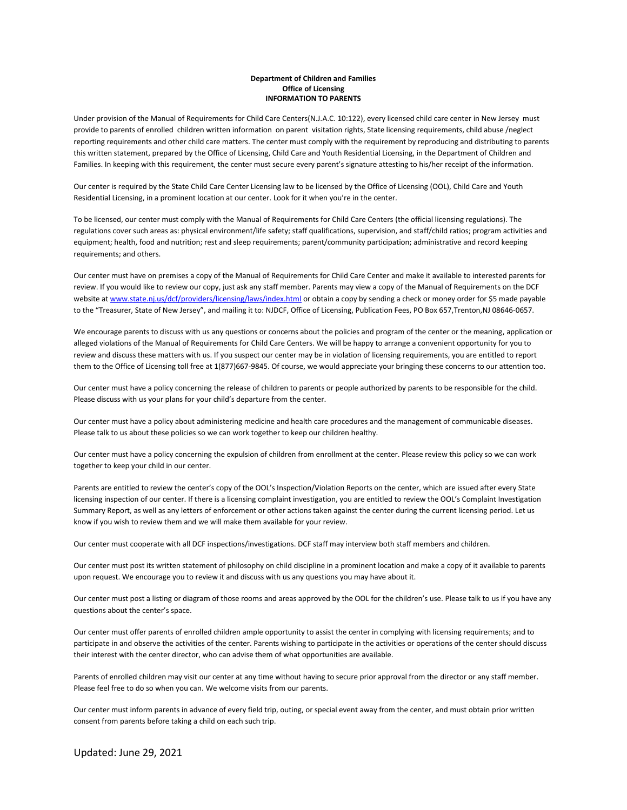#### **Department of Children and Families Office of Licensing INFORMATION TO PARENTS**

Under provision of the Manual of Requirements for Child Care Centers(N.J.A.C. 10:122), every licensed child care center in New Jersey must provide to parents of enrolled children written information on parent visitation rights, State licensing requirements, child abuse /neglect reporting requirements and other child care matters. The center must comply with the requirement by reproducing and distributing to parents this written statement, prepared by the Office of Licensing, Child Care and Youth Residential Licensing, in the Department of Children and Families. In keeping with this requirement, the center must secure every parent's signature attesting to his/her receipt of the information.

Our center is required by the State Child Care Center Licensing law to be licensed by the Office of Licensing (OOL), Child Care and Youth Residential Licensing, in a prominent location at our center. Look for it when you're in the center.

To be licensed, our center must comply with the Manual of Requirements for Child Care Centers (the official licensing regulations). The regulations cover such areas as: physical environment/life safety; staff qualifications, supervision, and staff/child ratios; program activities and equipment; health, food and nutrition; rest and sleep requirements; parent/community participation; administrative and record keeping requirements; and others.

Our center must have on premises a copy of the Manual of Requirements for Child Care Center and make it available to interested parents for review. If you would like to review our copy, just ask any staff member. Parents may view a copy of the Manual of Requirements on the DCF website a[t www.state.nj.us/dcf/providers/licensing/laws/index.html](http://www.state.nj.us/dcf/providers/licensing/laws/index.html) or obtain a copy by sending a check or money order for \$5 made payable to the "Treasurer, State of New Jersey", and mailing it to: NJDCF, Office of Licensing, Publication Fees, PO Box 657,Trenton,NJ 08646-0657.

We encourage parents to discuss with us any questions or concerns about the policies and program of the center or the meaning, application or alleged violations of the Manual of Requirements for Child Care Centers. We will be happy to arrange a convenient opportunity for you to review and discuss these matters with us. If you suspect our center may be in violation of licensing requirements, you are entitled to report them to the Office of Licensing toll free at 1(877)667-9845. Of course, we would appreciate your bringing these concerns to our attention too.

Our center must have a policy concerning the release of children to parents or people authorized by parents to be responsible for the child. Please discuss with us your plans for your child's departure from the center.

Our center must have a policy about administering medicine and health care procedures and the management of communicable diseases. Please talk to us about these policies so we can work together to keep our children healthy.

Our center must have a policy concerning the expulsion of children from enrollment at the center. Please review this policy so we can work together to keep your child in our center.

Parents are entitled to review the center's copy of the OOL's Inspection/Violation Reports on the center, which are issued after every State licensing inspection of our center. If there is a licensing complaint investigation, you are entitled to review the OOL's Complaint Investigation Summary Report, as well as any letters of enforcement or other actions taken against the center during the current licensing period. Let us know if you wish to review them and we will make them available for your review.

Our center must cooperate with all DCF inspections/investigations. DCF staff may interview both staff members and children.

Our center must post its written statement of philosophy on child discipline in a prominent location and make a copy of it available to parents upon request. We encourage you to review it and discuss with us any questions you may have about it.

Our center must post a listing or diagram of those rooms and areas approved by the OOL for the children's use. Please talk to us if you have any questions about the center's space.

Our center must offer parents of enrolled children ample opportunity to assist the center in complying with licensing requirements; and to participate in and observe the activities of the center. Parents wishing to participate in the activities or operations of the center should discuss their interest with the center director, who can advise them of what opportunities are available.

Parents of enrolled children may visit our center at any time without having to secure prior approval from the director or any staff member. Please feel free to do so when you can. We welcome visits from our parents.

Our center must inform parents in advance of every field trip, outing, or special event away from the center, and must obtain prior written consent from parents before taking a child on each such trip.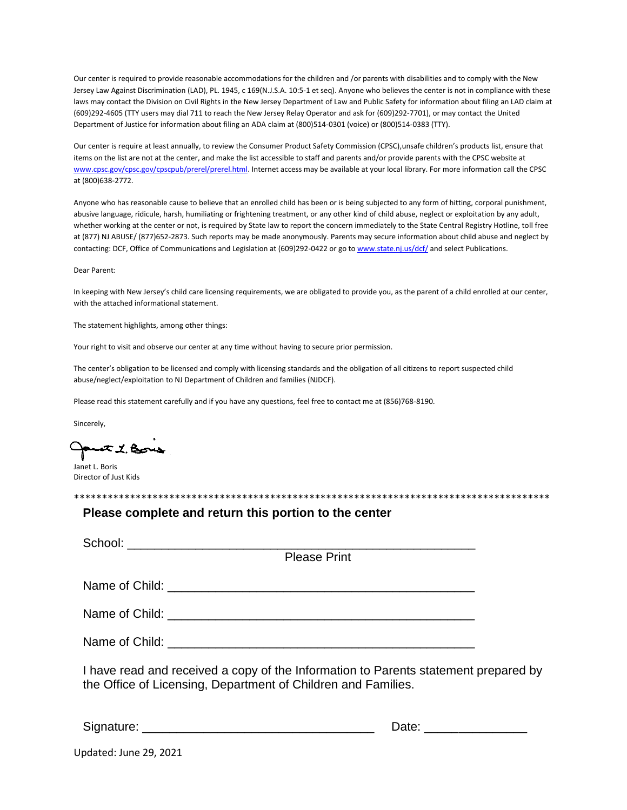Our center is required to provide reasonable accommodations for the children and /or parents with disabilities and to comply with the New Jersey Law Against Discrimination (LAD), PL. 1945, c 169(N.J.S.A. 10:5-1 et seq). Anyone who believes the center is not in compliance with these laws may contact the Division on Civil Rights in the New Jersey Department of Law and Public Safety for information about filing an LAD claim at (609)292-4605 (TTY users may dial 711 to reach the New Jersey Relay Operator and ask for (609)292-7701), or may contact the United Department of Justice for information about filing an ADA claim at (800)514-0301 (voice) or (800)514-0383 (TTY).

Our center is require at least annually, to review the Consumer Product Safety Commission (CPSC),unsafe children's products list, ensure that items on the list are not at the center, and make the list accessible to staff and parents and/or provide parents with the CPSC website at [www.cpsc.gov/cpsc.gov/cpscpub/prerel/prerel.html.](http://www.cpsc.gov/cpsc.gov/cpscpub/prerel/prerel.html) Internet access may be available at your local library. For more information call the CPSC at (800)638-2772.

Anyone who has reasonable cause to believe that an enrolled child has been or is being subjected to any form of hitting, corporal punishment, abusive language, ridicule, harsh, humiliating or frightening treatment, or any other kind of child abuse, neglect or exploitation by any adult, whether working at the center or not, is required by State law to report the concern immediately to the State Central Registry Hotline, toll free at (877) NJ ABUSE/ (877)652-2873. Such reports may be made anonymously. Parents may secure information about child abuse and neglect by contacting: DCF, Office of Communications and Legislation at (609)292-0422 or go t[o www.state.nj.us/dcf/](http://www.state.nj.us/dcf/) and select Publications.

#### Dear Parent:

In keeping with New Jersey's child care licensing requirements, we are obligated to provide you, as the parent of a child enrolled at our center, with the attached informational statement.

The statement highlights, among other things:

Your right to visit and observe our center at any time without having to secure prior permission.

The center's obligation to be licensed and comply with licensing standards and the obligation of all citizens to report suspected child abuse/neglect/exploitation to NJ Department of Children and families (NJDCF).

Please read this statement carefully and if you have any questions, feel free to contact me at (856)768-8190.

Sincerely,

part 1. Bois

Janet L. Boris Director of Just Kids

\*\*\*\*\*\*\*\*\*\*\*\*\*\*\*\*\*\*\*\*\*\*\*\*\*\*\*\*\*\*\*\*\*\*\*\*\*\*\*\*\*\*\*\*\*\*\*\*\*\*\*\*\*\*\*\*\*\*\*\*\*\*\*\*\*\*\*\*\*\*\*\*\*\*\*\*\*\*\*\*\*\*\*\*\*

#### **Please complete and return this portion to the center**

| <b>Please Print</b>                                                                                                                                  |                          |  |
|------------------------------------------------------------------------------------------------------------------------------------------------------|--------------------------|--|
|                                                                                                                                                      |                          |  |
|                                                                                                                                                      |                          |  |
|                                                                                                                                                      |                          |  |
| I have read and received a copy of the Information to Parents statement prepared by<br>the Office of Licensing, Department of Children and Families. |                          |  |
|                                                                                                                                                      | Date: __________________ |  |
| Updated: June 29, 2021                                                                                                                               |                          |  |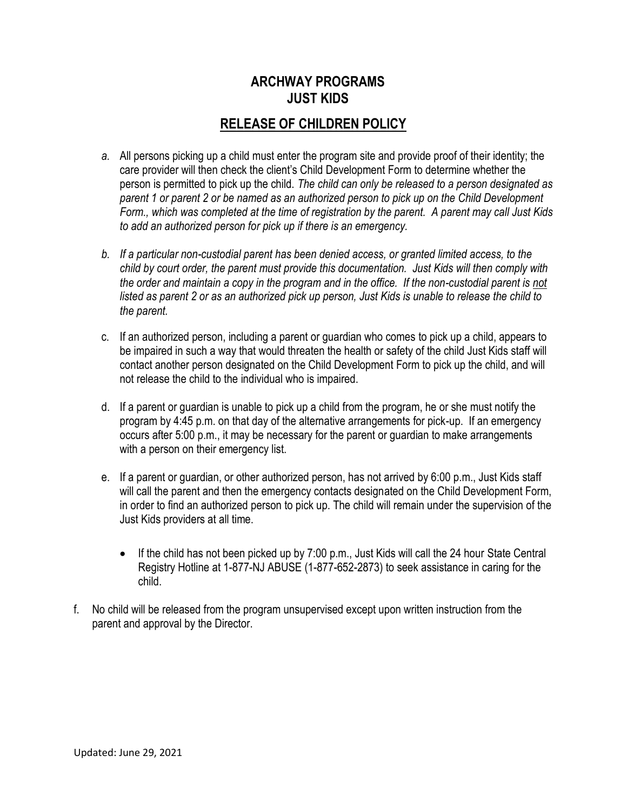# **ARCHWAY PROGRAMS JUST KIDS**

# **RELEASE OF CHILDREN POLICY**

- *a.* All persons picking up a child must enter the program site and provide proof of their identity; the care provider will then check the client's Child Development Form to determine whether the person is permitted to pick up the child. *The child can only be released to a person designated as parent 1 or parent 2 or be named as an authorized person to pick up on the Child Development Form., which was completed at the time of registration by the parent. A parent may call Just Kids to add an authorized person for pick up if there is an emergency.*
- *b. If a particular non-custodial parent has been denied access, or granted limited access, to the child by court order, the parent must provide this documentation. Just Kids will then comply with the order and maintain a copy in the program and in the office. If the non-custodial parent is not listed as parent 2 or as an authorized pick up person, Just Kids is unable to release the child to the parent.*
- c. If an authorized person, including a parent or guardian who comes to pick up a child, appears to be impaired in such a way that would threaten the health or safety of the child Just Kids staff will contact another person designated on the Child Development Form to pick up the child, and will not release the child to the individual who is impaired.
- d. If a parent or guardian is unable to pick up a child from the program, he or she must notify the program by 4:45 p.m. on that day of the alternative arrangements for pick-up. If an emergency occurs after 5:00 p.m., it may be necessary for the parent or guardian to make arrangements with a person on their emergency list.
- e. If a parent or guardian, or other authorized person, has not arrived by 6:00 p.m., Just Kids staff will call the parent and then the emergency contacts designated on the Child Development Form, in order to find an authorized person to pick up. The child will remain under the supervision of the Just Kids providers at all time.
	- $\bullet$  If the child has not been picked up by 7:00 p.m., Just Kids will call the 24 hour State Central Registry Hotline at 1-877-NJ ABUSE (1-877-652-2873) to seek assistance in caring for the child.
- f. No child will be released from the program unsupervised except upon written instruction from the parent and approval by the Director.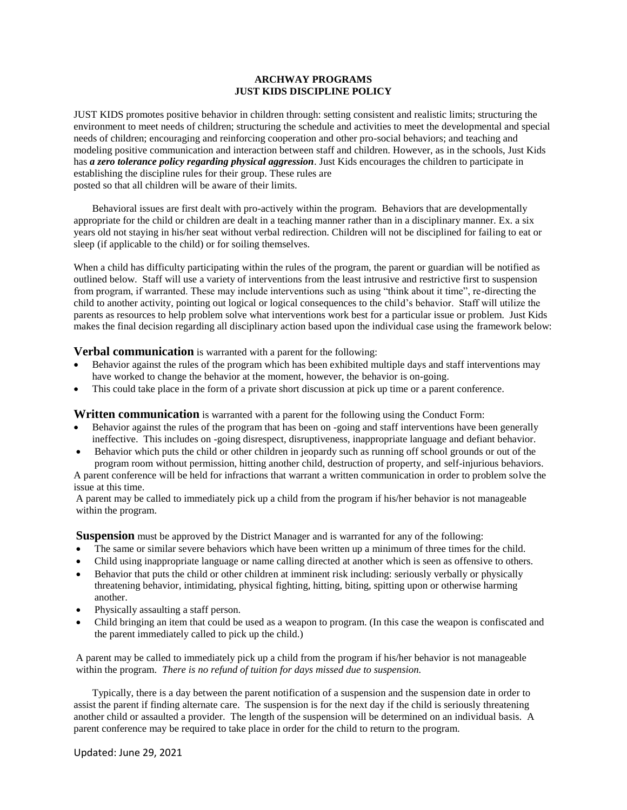#### **ARCHWAY PROGRAMS JUST KIDS DISCIPLINE POLICY**

JUST KIDS promotes positive behavior in children through: setting consistent and realistic limits; structuring the environment to meet needs of children; structuring the schedule and activities to meet the developmental and special needs of children; encouraging and reinforcing cooperation and other pro-social behaviors; and teaching and modeling positive communication and interaction between staff and children. However, as in the schools, Just Kids has *a zero tolerance policy regarding physical aggression*. Just Kids encourages the children to participate in establishing the discipline rules for their group. These rules are posted so that all children will be aware of their limits.

Behavioral issues are first dealt with pro-actively within the program. Behaviors that are developmentally appropriate for the child or children are dealt in a teaching manner rather than in a disciplinary manner. Ex. a six years old not staying in his/her seat without verbal redirection. Children will not be disciplined for failing to eat or sleep (if applicable to the child) or for soiling themselves.

When a child has difficulty participating within the rules of the program, the parent or guardian will be notified as outlined below. Staff will use a variety of interventions from the least intrusive and restrictive first to suspension from program, if warranted. These may include interventions such as using "think about it time", re-directing the child to another activity, pointing out logical or logical consequences to the child's behavior. Staff will utilize the parents as resources to help problem solve what interventions work best for a particular issue or problem. Just Kids makes the final decision regarding all disciplinary action based upon the individual case using the framework below:

**Verbal communication** is warranted with a parent for the following:

- Behavior against the rules of the program which has been exhibited multiple days and staff interventions may have worked to change the behavior at the moment, however, the behavior is on-going.
- This could take place in the form of a private short discussion at pick up time or a parent conference.

**Written communication** is warranted with a parent for the following using the Conduct Form:

- Behavior against the rules of the program that has been on -going and staff interventions have been generally ineffective. This includes on -going disrespect, disruptiveness, inappropriate language and defiant behavior.
- Behavior which puts the child or other children in jeopardy such as running off school grounds or out of the program room without permission, hitting another child, destruction of property, and self-injurious behaviors.

A parent conference will be held for infractions that warrant a written communication in order to problem solve the issue at this time.

A parent may be called to immediately pick up a child from the program if his/her behavior is not manageable within the program.

**Suspension** must be approved by the District Manager and is warranted for any of the following:

- The same or similar severe behaviors which have been written up a minimum of three times for the child.
- Child using inappropriate language or name calling directed at another which is seen as offensive to others.
- Behavior that puts the child or other children at imminent risk including: seriously verbally or physically threatening behavior, intimidating, physical fighting, hitting, biting, spitting upon or otherwise harming another.
- Physically assaulting a staff person.
- Child bringing an item that could be used as a weapon to program. (In this case the weapon is confiscated and the parent immediately called to pick up the child.)

A parent may be called to immediately pick up a child from the program if his/her behavior is not manageable within the program. *There is no refund of tuition for days missed due to suspension.*

Typically, there is a day between the parent notification of a suspension and the suspension date in order to assist the parent if finding alternate care. The suspension is for the next day if the child is seriously threatening another child or assaulted a provider. The length of the suspension will be determined on an individual basis. A parent conference may be required to take place in order for the child to return to the program.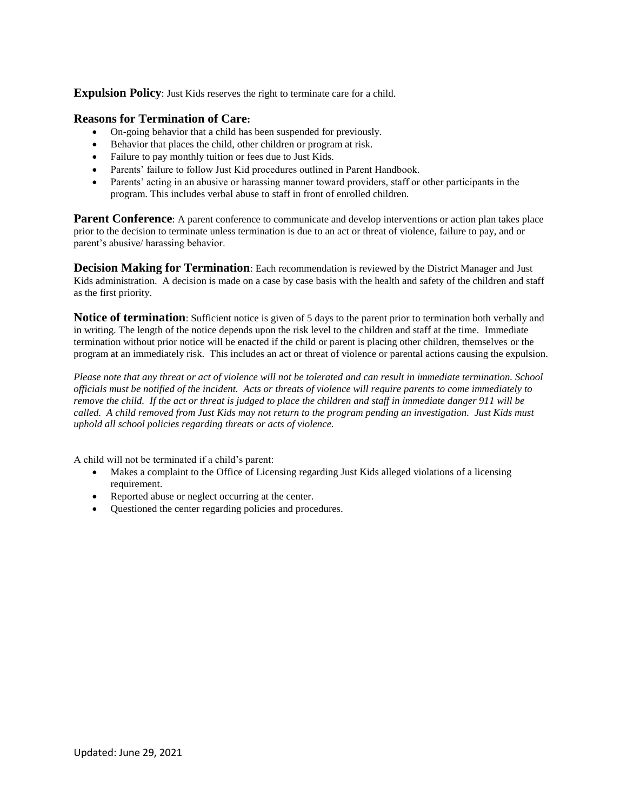**Expulsion Policy**: Just Kids reserves the right to terminate care for a child.

#### **Reasons for Termination of Care:**

- On-going behavior that a child has been suspended for previously.
- Behavior that places the child, other children or program at risk.
- Failure to pay monthly tuition or fees due to Just Kids.
- Parents' failure to follow Just Kid procedures outlined in Parent Handbook.
- Parents' acting in an abusive or harassing manner toward providers, staff or other participants in the program. This includes verbal abuse to staff in front of enrolled children.

**Parent Conference**: A parent conference to communicate and develop interventions or action plan takes place prior to the decision to terminate unless termination is due to an act or threat of violence, failure to pay, and or parent's abusive/ harassing behavior.

**Decision Making for Termination**: Each recommendation is reviewed by the District Manager and Just Kids administration. A decision is made on a case by case basis with the health and safety of the children and staff as the first priority.

**Notice of termination**: Sufficient notice is given of 5 days to the parent prior to termination both verbally and in writing. The length of the notice depends upon the risk level to the children and staff at the time. Immediate termination without prior notice will be enacted if the child or parent is placing other children, themselves or the program at an immediately risk. This includes an act or threat of violence or parental actions causing the expulsion.

*Please note that any threat or act of violence will not be tolerated and can result in immediate termination. School officials must be notified of the incident. Acts or threats of violence will require parents to come immediately to remove the child. If the act or threat is judged to place the children and staff in immediate danger 911 will be called. A child removed from Just Kids may not return to the program pending an investigation. Just Kids must uphold all school policies regarding threats or acts of violence.*

A child will not be terminated if a child's parent:

- Makes a complaint to the Office of Licensing regarding Just Kids alleged violations of a licensing requirement.
- Reported abuse or neglect occurring at the center.
- Questioned the center regarding policies and procedures.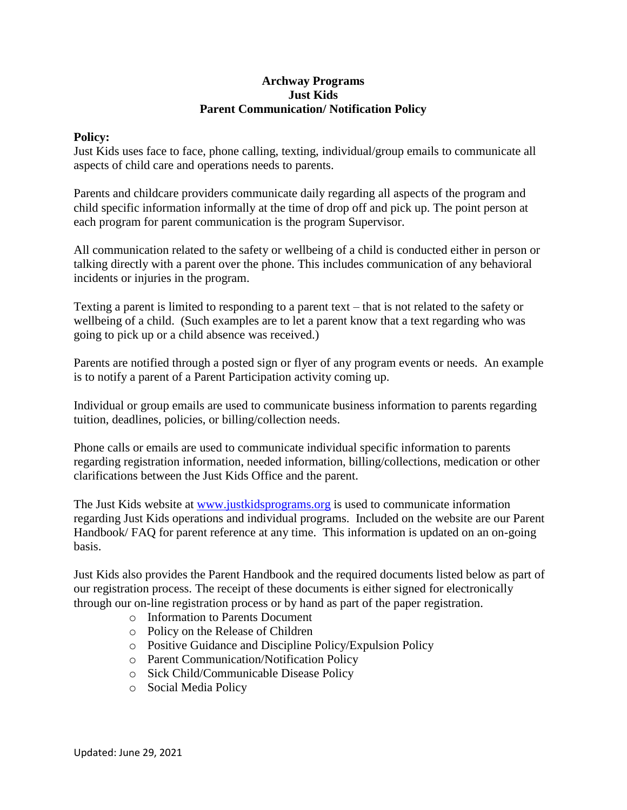#### **Archway Programs Just Kids Parent Communication/ Notification Policy**

#### **Policy:**

Just Kids uses face to face, phone calling, texting, individual/group emails to communicate all aspects of child care and operations needs to parents.

Parents and childcare providers communicate daily regarding all aspects of the program and child specific information informally at the time of drop off and pick up. The point person at each program for parent communication is the program Supervisor.

All communication related to the safety or wellbeing of a child is conducted either in person or talking directly with a parent over the phone. This includes communication of any behavioral incidents or injuries in the program.

Texting a parent is limited to responding to a parent text – that is not related to the safety or wellbeing of a child. (Such examples are to let a parent know that a text regarding who was going to pick up or a child absence was received.)

Parents are notified through a posted sign or flyer of any program events or needs. An example is to notify a parent of a Parent Participation activity coming up.

Individual or group emails are used to communicate business information to parents regarding tuition, deadlines, policies, or billing/collection needs.

Phone calls or emails are used to communicate individual specific information to parents regarding registration information, needed information, billing/collections, medication or other clarifications between the Just Kids Office and the parent.

The Just Kids website at [www.justkidsprograms.org](http://www.justkidsprograms.org/) is used to communicate information regarding Just Kids operations and individual programs. Included on the website are our Parent Handbook/ FAQ for parent reference at any time. This information is updated on an on-going basis.

Just Kids also provides the Parent Handbook and the required documents listed below as part of our registration process. The receipt of these documents is either signed for electronically through our on-line registration process or by hand as part of the paper registration.

- o Information to Parents Document
- o Policy on the Release of Children
- o Positive Guidance and Discipline Policy/Expulsion Policy
- o Parent Communication/Notification Policy
- o Sick Child/Communicable Disease Policy
- o Social Media Policy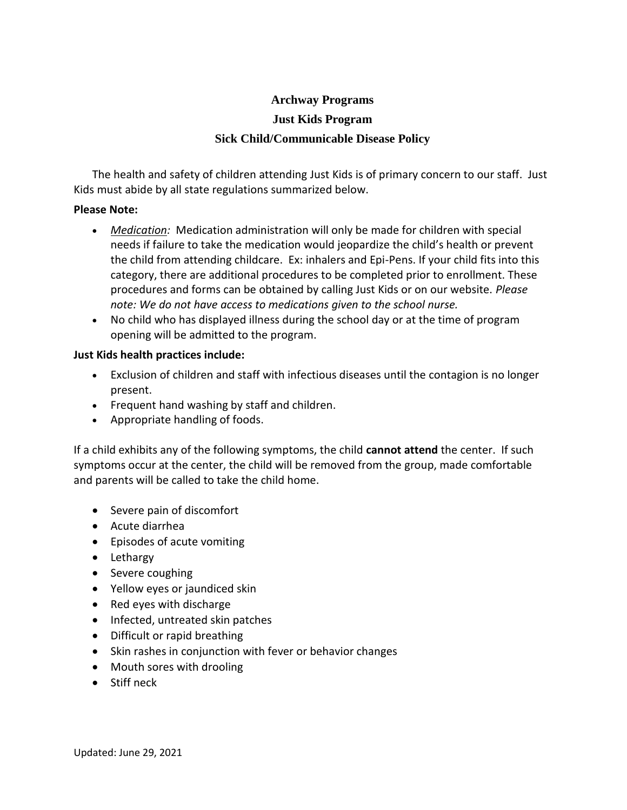# **Archway Programs Just Kids Program Sick Child/Communicable Disease Policy**

The health and safety of children attending Just Kids is of primary concern to our staff. Just Kids must abide by all state regulations summarized below.

#### **Please Note:**

- *Medication:* Medication administration will only be made for children with special needs if failure to take the medication would jeopardize the child's health or prevent the child from attending childcare. Ex: inhalers and Epi-Pens. If your child fits into this category, there are additional procedures to be completed prior to enrollment. These procedures and forms can be obtained by calling Just Kids or on our website. *Please note: We do not have access to medications given to the school nurse.*
- No child who has displayed illness during the school day or at the time of program opening will be admitted to the program.

### **Just Kids health practices include:**

- Exclusion of children and staff with infectious diseases until the contagion is no longer present.
- Frequent hand washing by staff and children.
- Appropriate handling of foods.

If a child exhibits any of the following symptoms, the child **cannot attend** the center. If such symptoms occur at the center, the child will be removed from the group, made comfortable and parents will be called to take the child home.

- Severe pain of discomfort
- Acute diarrhea
- Episodes of acute vomiting
- Lethargy
- Severe coughing
- Yellow eyes or jaundiced skin
- Red eyes with discharge
- Infected, untreated skin patches
- Difficult or rapid breathing
- Skin rashes in conjunction with fever or behavior changes
- Mouth sores with drooling
- **•** Stiff neck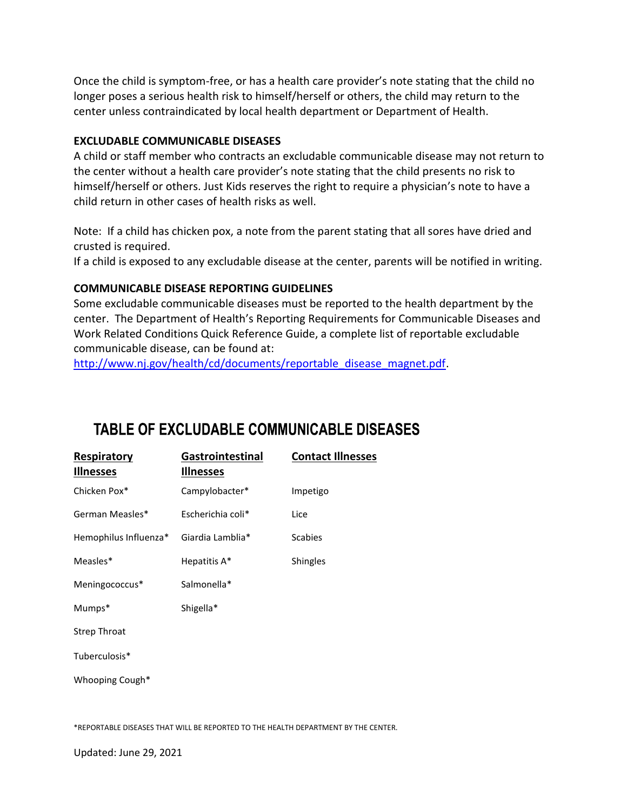Once the child is symptom-free, or has a health care provider's note stating that the child no longer poses a serious health risk to himself/herself or others, the child may return to the center unless contraindicated by local health department or Department of Health.

### **EXCLUDABLE COMMUNICABLE DISEASES**

A child or staff member who contracts an excludable communicable disease may not return to the center without a health care provider's note stating that the child presents no risk to himself/herself or others. Just Kids reserves the right to require a physician's note to have a child return in other cases of health risks as well.

Note: If a child has chicken pox, a note from the parent stating that all sores have dried and crusted is required.

If a child is exposed to any excludable disease at the center, parents will be notified in writing.

### **COMMUNICABLE DISEASE REPORTING GUIDELINES**

Some excludable communicable diseases must be reported to the health department by the center. The Department of Health's Reporting Requirements for Communicable Diseases and Work Related Conditions Quick Reference Guide, a complete list of reportable excludable communicable disease, can be found at:

[http://www.nj.gov/health/cd/documents/reportable\\_disease\\_magnet.pdf.](http://www.nj.gov/health/cd/documents/reportable_disease_magnet.pdf)

# **TABLE OF EXCLUDABLE COMMUNICABLE DISEASES**

| <b>Respiratory</b><br><b>Illnesses</b> | Gastrointestinal<br><b>Illnesses</b> | <b>Contact Illnesses</b> |
|----------------------------------------|--------------------------------------|--------------------------|
| Chicken Pox*                           | Campylobacter*                       | Impetigo                 |
| German Measles*                        | Escherichia coli*                    | Lice                     |
| Hemophilus Influenza*                  | Giardia Lamblia*                     | <b>Scabies</b>           |
| Measles*                               | Hepatitis A*                         | Shingles                 |
| Meningococcus*                         | Salmonella*                          |                          |
| Mumps*                                 | Shigella*                            |                          |
| <b>Strep Throat</b>                    |                                      |                          |
| Tuberculosis*                          |                                      |                          |
| Whooping Cough*                        |                                      |                          |
|                                        |                                      |                          |

\*REPORTABLE DISEASES THAT WILL BE REPORTED TO THE HEALTH DEPARTMENT BY THE CENTER.